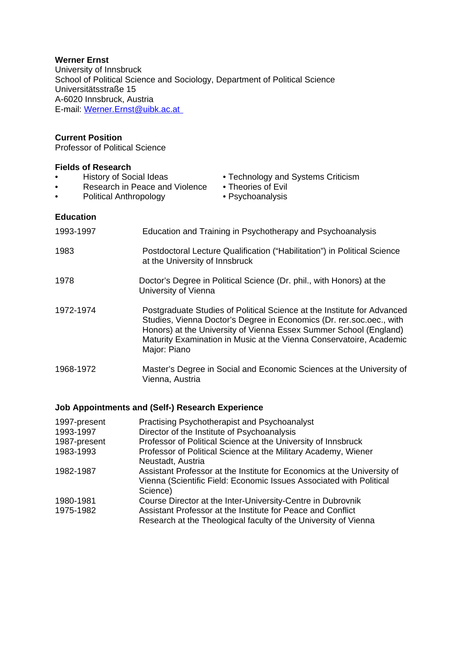#### **Werner Ernst**

University of Innsbruck School of Political Science and Sociology, Department of Political Science Universitätsstraße 15 A-6020 Innsbruck, Austria E-mail: Werner.Ernst@uibk.ac.at

#### **Current Position**

Professor of Political Science

#### **Fields of Research**

- History of Social Ideas Technology and Systems Criticism<br>• Research in Peace and Violence Theories of Evil
- Research in Peace and Violence
- 
- 
- Political Anthropology Psychoanalysis
- 

**Education** 

| 1993-1997 | Education and Training in Psychotherapy and Psychoanalysis                                                                                                                                                                                                                                                  |
|-----------|-------------------------------------------------------------------------------------------------------------------------------------------------------------------------------------------------------------------------------------------------------------------------------------------------------------|
| 1983      | Postdoctoral Lecture Qualification ("Habilitation") in Political Science<br>at the University of Innsbruck                                                                                                                                                                                                  |
| 1978      | Doctor's Degree in Political Science (Dr. phil., with Honors) at the<br>University of Vienna                                                                                                                                                                                                                |
| 1972-1974 | Postgraduate Studies of Political Science at the Institute for Advanced<br>Studies, Vienna Doctor's Degree in Economics (Dr. rer.soc.oec., with<br>Honors) at the University of Vienna Essex Summer School (England)<br>Maturity Examination in Music at the Vienna Conservatoire, Academic<br>Major: Piano |
| 1968-1972 | Master's Degree in Social and Economic Sciences at the University of<br>Vienna, Austria                                                                                                                                                                                                                     |

### **Job Appointments and (Self-) Research Experience**

| 1997-present | Practising Psychotherapist and Psychoanalyst                                                                                                               |
|--------------|------------------------------------------------------------------------------------------------------------------------------------------------------------|
| 1993-1997    | Director of the Institute of Psychoanalysis                                                                                                                |
| 1987-present | Professor of Political Science at the University of Innsbruck                                                                                              |
| 1983-1993    | Professor of Political Science at the Military Academy, Wiener<br>Neustadt, Austria                                                                        |
| 1982-1987    | Assistant Professor at the Institute for Economics at the University of<br>Vienna (Scientific Field: Economic Issues Associated with Political<br>Science) |
| 1980-1981    | Course Director at the Inter-University-Centre in Dubrovnik                                                                                                |
| 1975-1982    | Assistant Professor at the Institute for Peace and Conflict<br>Research at the Theological faculty of the University of Vienna                             |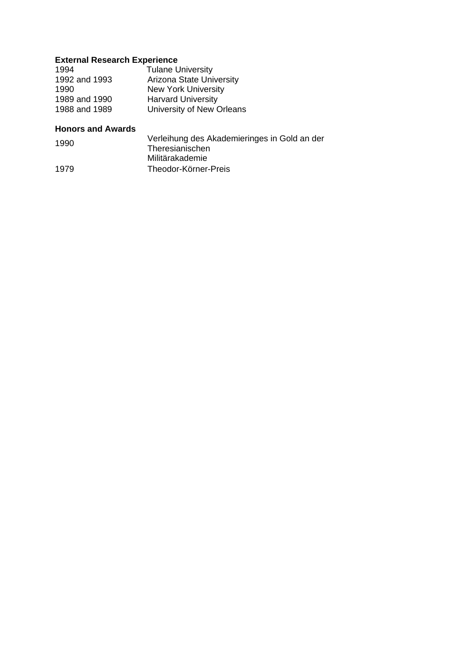## **External Research Experience**

| 1994          | <b>Tulane University</b>        |
|---------------|---------------------------------|
| 1992 and 1993 | <b>Arizona State University</b> |
| 1990          | <b>New York University</b>      |
| 1989 and 1990 | <b>Harvard University</b>       |
| 1988 and 1989 | University of New Orleans       |
|               |                                 |

## **Honors and Awards**

| 1990 | Verleihung des Akademieringes in Gold an der |
|------|----------------------------------------------|
|      | Theresianischen                              |
|      | Militärakademie                              |
| 1979 | Theodor-Körner-Preis                         |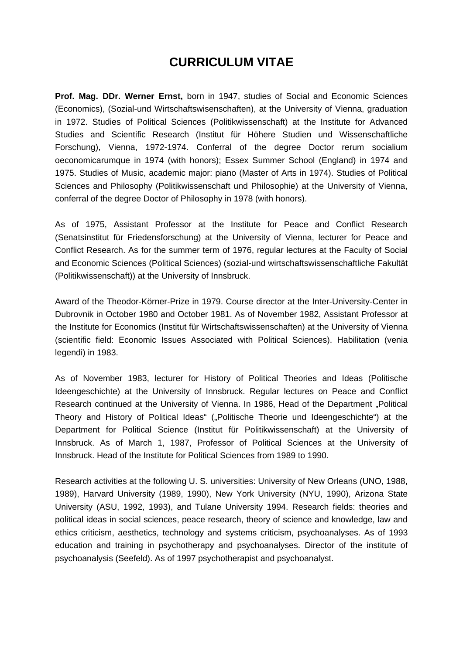# **CURRICULUM VITAE**

**Prof. Mag. DDr. Werner Ernst,** born in 1947, studies of Social and Economic Sciences (Economics), (Sozial-und Wirtschaftswisenschaften), at the University of Vienna, graduation in 1972. Studies of Political Sciences (Politikwissenschaft) at the Institute for Advanced Studies and Scientific Research (Institut für Höhere Studien und Wissenschaftliche Forschung), Vienna, 1972-1974. Conferral of the degree Doctor rerum socialium oeconomicarumque in 1974 (with honors); Essex Summer School (England) in 1974 and 1975. Studies of Music, academic major: piano (Master of Arts in 1974). Studies of Political Sciences and Philosophy (Politikwissenschaft und Philosophie) at the University of Vienna, conferral of the degree Doctor of Philosophy in 1978 (with honors).

As of 1975, Assistant Professor at the Institute for Peace and Conflict Research (Senatsinstitut für Friedensforschung) at the University of Vienna, lecturer for Peace and Conflict Research. As for the summer term of 1976, regular lectures at the Faculty of Social and Economic Sciences (Political Sciences) (sozial-und wirtschaftswissenschaftliche Fakultät (Politikwissenschaft)) at the University of Innsbruck.

Award of the Theodor-Körner-Prize in 1979. Course director at the Inter-University-Center in Dubrovnik in October 1980 and October 1981. As of November 1982, Assistant Professor at the Institute for Economics (Institut für Wirtschaftswissenschaften) at the University of Vienna (scientific field: Economic Issues Associated with Political Sciences). Habilitation (venia legendi) in 1983.

As of November 1983, lecturer for History of Political Theories and Ideas (Politische Ideengeschichte) at the University of Innsbruck. Regular lectures on Peace and Conflict Research continued at the University of Vienna. In 1986, Head of the Department "Political Theory and History of Political Ideas" ("Politische Theorie und Ideengeschichte") at the Department for Political Science (Institut für Politikwissenschaft) at the University of Innsbruck. As of March 1, 1987, Professor of Political Sciences at the University of Innsbruck. Head of the Institute for Political Sciences from 1989 to 1990.

Research activities at the following U. S. universities: University of New Orleans (UNO, 1988, 1989), Harvard University (1989, 1990), New York University (NYU, 1990), Arizona State University (ASU, 1992, 1993), and Tulane University 1994. Research fields: theories and political ideas in social sciences, peace research, theory of science and knowledge, law and ethics criticism, aesthetics, technology and systems criticism, psychoanalyses. As of 1993 education and training in psychotherapy and psychoanalyses. Director of the institute of psychoanalysis (Seefeld). As of 1997 psychotherapist and psychoanalyst.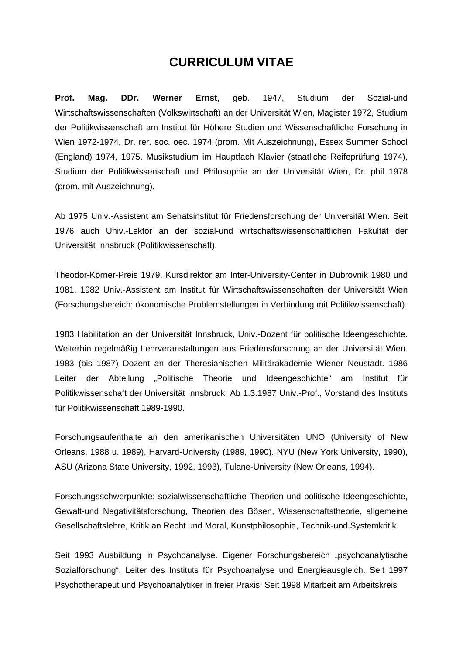## **CURRICULUM VITAE**

**Prof. Mag. DDr. Werner Ernst**, geb. 1947, Studium der Sozial-und Wirtschaftswissenschaften (Volkswirtschaft) an der Universität Wien, Magister 1972, Studium der Politikwissenschaft am Institut für Höhere Studien und Wissenschaftliche Forschung in Wien 1972-1974, Dr. rer. soc. oec. 1974 (prom. Mit Auszeichnung), Essex Summer School (England) 1974, 1975. Musikstudium im Hauptfach Klavier (staatliche Reifeprüfung 1974), Studium der Politikwissenschaft und Philosophie an der Universität Wien, Dr. phil 1978 (prom. mit Auszeichnung).

Ab 1975 Univ.-Assistent am Senatsinstitut für Friedensforschung der Universität Wien. Seit 1976 auch Univ.-Lektor an der sozial-und wirtschaftswissenschaftlichen Fakultät der Universität Innsbruck (Politikwissenschaft).

Theodor-Körner-Preis 1979. Kursdirektor am Inter-University-Center in Dubrovnik 1980 und 1981. 1982 Univ.-Assistent am Institut für Wirtschaftswissenschaften der Universität Wien (Forschungsbereich: ökonomische Problemstellungen in Verbindung mit Politikwissenschaft).

1983 Habilitation an der Universität Innsbruck, Univ.-Dozent für politische Ideengeschichte. Weiterhin regelmäßig Lehrveranstaltungen aus Friedensforschung an der Universität Wien. 1983 (bis 1987) Dozent an der Theresianischen Militärakademie Wiener Neustadt. 1986 Leiter der Abteilung "Politische Theorie und Ideengeschichte" am Institut für Politikwissenschaft der Universität Innsbruck. Ab 1.3.1987 Univ.-Prof., Vorstand des Instituts für Politikwissenschaft 1989-1990.

Forschungsaufenthalte an den amerikanischen Universitäten UNO (University of New Orleans, 1988 u. 1989), Harvard-University (1989, 1990). NYU (New York University, 1990), ASU (Arizona State University, 1992, 1993), Tulane-University (New Orleans, 1994).

Forschungsschwerpunkte: sozialwissenschaftliche Theorien und politische Ideengeschichte, Gewalt-und Negativitätsforschung, Theorien des Bösen, Wissenschaftstheorie, allgemeine Gesellschaftslehre, Kritik an Recht und Moral, Kunstphilosophie, Technik-und Systemkritik.

Seit 1993 Ausbildung in Psychoanalyse. Eigener Forschungsbereich "psychoanalytische Sozialforschung". Leiter des Instituts für Psychoanalyse und Energieausgleich. Seit 1997 Psychotherapeut und Psychoanalytiker in freier Praxis. Seit 1998 Mitarbeit am Arbeitskreis